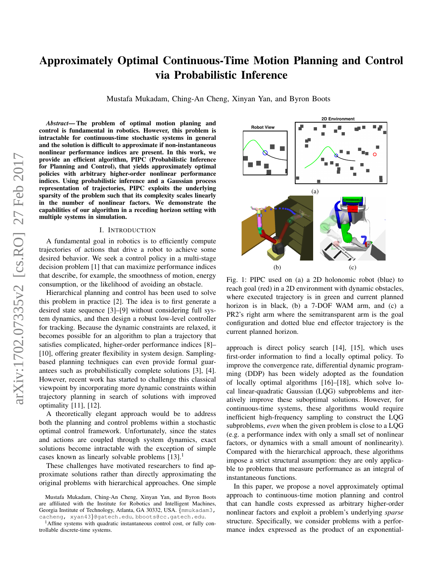# Approximately Optimal Continuous-Time Motion Planning and Control via Probabilistic Inference

Mustafa Mukadam, Ching-An Cheng, Xinyan Yan, and Byron Boots

*Abstract*— The problem of optimal motion planing and control is fundamental in robotics. However, this problem is intractable for continuous-time stochastic systems in general and the solution is difficult to approximate if non-instantaneous nonlinear performance indices are present. In this work, we provide an efficient algorithm, PIPC (Probabilistic Inference for Planning and Control), that yields approximately optimal policies with arbitrary higher-order nonlinear performance indices. Using probabilistic inference and a Gaussian process representation of trajectories, PIPC exploits the underlying sparsity of the problem such that its complexity scales linearly in the number of nonlinear factors. We demonstrate the capabilities of our algorithm in a receding horizon setting with multiple systems in simulation.

# I. INTRODUCTION

A fundamental goal in robotics is to efficiently compute trajectories of actions that drive a robot to achieve some desired behavior. We seek a control policy in a multi-stage decision problem [1] that can maximize performance indices that describe, for example, the smoothness of motion, energy consumption, or the likelihood of avoiding an obstacle.

Hierarchical planning and control has been used to solve this problem in practice [2]. The idea is to first generate a desired state sequence [3]–[9] without considering full system dynamics, and then design a robust low-level controller for tracking. Because the dynamic constraints are relaxed, it becomes possible for an algorithm to plan a trajectory that satisfies complicated, higher-order performance indices [8]– [10], offering greater flexibility in system design. Samplingbased planning techniques can even provide formal guarantees such as probabilistically complete solutions [3], [4]. However, recent work has started to challenge this classical viewpoint by incorporating more dynamic constraints within trajectory planning in search of solutions with improved optimality [11], [12].

A theoretically elegant approach would be to address both the planning and control problems within a stochastic optimal control framework. Unfortunately, since the states and actions are coupled through system dynamics, exact solutions become intractable with the exception of simple cases known as linearly solvable problems  $[13]$ <sup>1</sup>

These challenges have motivated researchers to find approximate solutions rather than directly approximating the original problems with hierarchical approaches. One simple



Fig. 1: PIPC used on (a) a 2D holonomic robot (blue) to reach goal (red) in a 2D environment with dynamic obstacles, where executed trajectory is in green and current planned horizon is in black, (b) a 7-DOF WAM arm, and (c) a PR2's right arm where the semitransparent arm is the goal configuration and dotted blue end effector trajectory is the current planned horizon.

approach is direct policy search [14], [15], which uses first-order information to find a locally optimal policy. To improve the convergence rate, differential dynamic programming (DDP) has been widely adopted as the foundation of locally optimal algorithms [16]–[18], which solve local linear-quadratic Gaussian (LQG) subproblems and iteratively improve these suboptimal solutions. However, for continuous-time systems, these algorithms would require inefficient high-frequency sampling to construct the LQG subproblems, *even* when the given problem is close to a LQG (e.g. a performance index with only a small set of nonlinear factors, or dynamics with a small amount of nonlinearity). Compared with the hierarchical approach, these algorithms impose a strict structural assumption: they are only applicable to problems that measure performance as an integral of instantaneous functions.

In this paper, we propose a novel approximately optimal approach to continuous-time motion planning and control that can handle costs expressed as arbitrary higher-order nonlinear factors and exploit a problem's underlying *sparse* structure. Specifically, we consider problems with a performance index expressed as the product of an exponential-

Mustafa Mukadam, Ching-An Cheng, Xinyan Yan, and Byron Boots are affiliated with the Institute for Robotics and Intelligent Machines, Georgia Institute of Technology, Atlanta, GA 30332, USA. {mmukadam3, cacheng, xyan43}@gatech.edu, bboots@cc.gatech.edu.

 $<sup>1</sup>$ Affine systems with quadratic instantaneous control cost, or fully con-</sup> trollable discrete-time systems.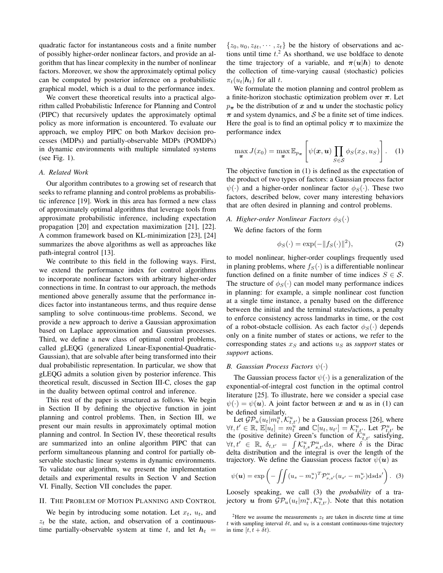quadratic factor for instantaneous costs and a finite number of possibly higher-order nonlinear factors, and provide an algorithm that has linear complexity in the number of nonlinear factors. Moreover, we show the approximately optimal policy can be computed by posterior inference on a probabilistic graphical model, which is a dual to the performance index.

We convert these theoretical results into a practical algorithm called Probabilistic Inference for Planning and Control (PIPC) that recursively updates the approximately optimal policy as more information is encountered. To evaluate our approach, we employ PIPC on both Markov decision processes (MDPs) and partially-observable MDPs (POMDPs) in dynamic environments with multiple simulated systems (see Fig. 1).

# *A. Related Work*

Our algorithm contributes to a growing set of research that seeks to reframe planning and control problems as probabilistic inference [19]. Work in this area has formed a new class of approximately optimal algorithms that leverage tools from approximate probabilistic inference, including expectation propagation [20] and expectation maximization [21], [22]. A common framework based on KL-minimization [23], [24] summarizes the above algorithms as well as approaches like path-integral control [13].

We contribute to this field in the following ways. First, we extend the performance index for control algorithms to incorporate nonlinear factors with arbitrary higher-order connections in time. In contrast to our approach, the methods mentioned above generally assume that the performance indices factor into instantaneous terms, and thus require dense sampling to solve continuous-time problems. Second, we provide a new approach to derive a Gaussian approximation based on Laplace approximation and Gaussian processes. Third, we define a new class of optimal control problems, called gLEQG (generalized Linear-Exponential-Quadratic-Gaussian), that are solvable after being transformed into their dual probabilistic representation. In particular, we show that gLEQG admits a solution given by posterior inference. This theoretical result, discussed in Section III-C, closes the gap in the duality between optimal control and inference.

This rest of the paper is structured as follows. We begin in Section II by defining the objective function in joint planning and control problems. Then, in Section III, we present our main results in approximately optimal motion planning and control. In Section IV, these theoretical results are summarized into an online algorithm PIPC that can perform simultaneous planning and control for partially observable stochastic linear systems in dynamic environments. To validate our algorithm, we present the implementation details and experimental results in Section V and Section VI. Finally, Section VII concludes the paper.

# II. THE PROBLEM OF MOTION PLANNING AND CONTROL

We begin by introducing some notation. Let  $x_t$ ,  $u_t$ , and  $z_t$  be the state, action, and observation of a continuoustime partially-observable system at time t, and let  $h_t =$ 

 $\{z_0, u_0, z_{\delta t}, \cdots, z_t\}$  be the history of observations and actions until time  $t<sup>2</sup>$ . As shorthand, we use boldface to denote the time trajectory of a variable, and  $\pi(u|h)$  to denote the collection of time-varying causal (stochastic) policies  $\pi_t(u_t|\mathbf{h}_t)$  for all t.

We formulate the motion planning and control problem as a finite-horizon stochastic optimization problem over  $\pi$ . Let  $p_{\pi}$  be the distribution of x and u under the stochastic policy  $\pi$  and system dynamics, and S be a finite set of time indices. Here the goal is to find an optimal policy  $\pi$  to maximize the performance index

$$
\max_{\boldsymbol{\pi}} J(x_0) = \max_{\boldsymbol{\pi}} \mathbb{E}_{p_{\boldsymbol{\pi}}} \left[ \psi(\boldsymbol{x}, \boldsymbol{u}) \prod_{S \in \mathcal{S}} \phi_S(x_S, u_S) \right]. \quad (1)
$$

The objective function in (1) is defined as the expectation of the product of two types of factors: a Gaussian process factor  $\psi(\cdot)$  and a higher-order nonlinear factor  $\phi_S(\cdot)$ . These two factors, described below, cover many interesting behaviors that are often desired in planning and control problems.

# *A. Higher-order Nonlinear Factors*  $\phi_S(\cdot)$

We define factors of the form

$$
\phi_S(\cdot) = \exp(-\|f_S(\cdot)\|^2),\tag{2}
$$

to model nonlinear, higher-order couplings frequently used in planing problems, where  $f_S(\cdot)$  is a differentiable nonlinear function defined on a finite number of time indices  $S \in \mathcal{S}$ . The structure of  $\phi_S(\cdot)$  can model many performance indices in planning: for example, a simple nonlinear cost function at a single time instance, a penalty based on the difference between the initial and the terminal states/actions, a penalty to enforce consistency across landmarks in time, or the cost of a robot-obstacle collision. As each factor  $\phi_S(\cdot)$  depends only on a finite number of states or actions, we refer to the corresponding states  $x<sub>S</sub>$  and actions  $u<sub>S</sub>$  as *support* states or *support* actions.

# *B. Gaussian Process Factors*  $\psi(\cdot)$

The Gaussian process factor  $\psi(\cdot)$  is a generalization of the exponential-of-integral cost function in the optimal control literature [25]. To illustrate, here we consider a special case  $\psi(\cdot) = \psi(u)$ . A joint factor between x and u as in (1) can be defined similarly.

Let  $\mathcal{GP}_u(u_t|m_t^u, \mathcal{K}_{t,t'}^u)$  be a Gaussian process [26], where  $\forall t, t' \in \mathbb{R}, \, \mathbb{E}[u_t] = m_t^u$  and  $\mathbb{C}[u_t, u_{t'}] = \mathcal{K}_{t,t'}^u$ . Let  $\mathcal{P}_{t,t'}^u$  be the (positive definite) Green's function of  $\mathcal{K}^u_{t,t'}$  satisfying,  $\forall t, t' \in \mathbb{R}, \delta_{t,t'} = \int \mathcal{K}_{t,s}^{u} \mathcal{P}_{s,t'}^{u} ds$ , where  $\delta$  is the Dirac delta distribution and the integral is over the length of the trajectory. We define the Gaussian process factor  $\psi(\boldsymbol{u})$  as

$$
\psi(\boldsymbol{u}) = \exp\left(-\iint (u_s - m_s^u)^T \mathcal{P}_{s,s'}^u(u_{s'} - m_{s'}^u) ds ds'\right). \tag{3}
$$

Loosely speaking, we call (3) the *probability* of a trajectory u from  $\mathcal{GP}_u(u_t|m_t^u, \mathcal{K}_{t,t'}^u)$ . Note that this notation

<sup>&</sup>lt;sup>2</sup>Here we assume the measurements  $z_t$  are taken in discrete time at time t with sampling interval  $\delta t$ , and  $u_t$  is a constant continuous-time trajectory in time  $[t, t + \delta t)$ .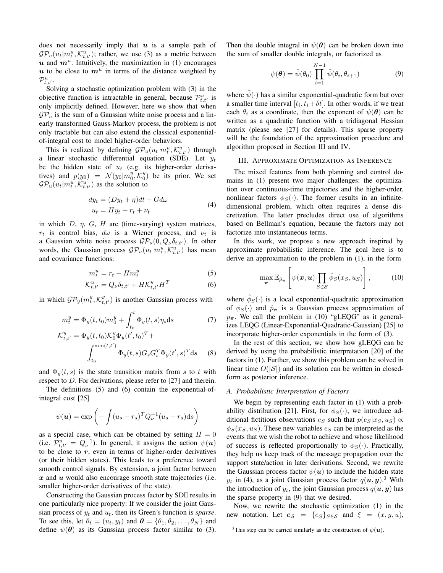does not necessarily imply that  $u$  is a sample path of  $\mathcal{GP}_u(u_t|m_t^u, \mathcal{K}_{t,t'}^u)$ ; rather, we use (3) as a metric between  $u$  and  $m^u$ . Intuitively, the maximization in (1) encourages  $u$  to be close to  $m^u$  in terms of the distance weighted by  $\mathcal{P}^u_{t,t'}.$ 

Solving a stochastic optimization problem with (3) in the objective function is intractable in general, because  $\mathcal{P}_{t,t'}^u$  is only implicitly defined. However, here we show that when  $\mathcal{GP}_u$  is the sum of a Gaussian white noise process and a linearly transformed Gauss-Markov process, the problem is not only tractable but can also extend the classical exponentialof-integral cost to model higher-order behaviors.

This is realized by defining  $\mathcal{GP}_u(u_t|m_t^u, \mathcal{K}_{t,t'}^u)$  through a linear stochastic differential equation (SDE). Let  $y_t$ be the hidden state of  $u_t$  (e.g. its higher-order derivatives) and  $p(y_0) = \mathcal{N}(y_0|m_0^y, \mathcal{K}_0^y)$  be its prior. We set  $\mathcal{GP}_u(u_t|m_t^u, \mathcal{K}_{t,t'}^u)$  as the solution to

$$
dy_t = (Dy_t + \eta)dt + Gd\omega
$$
  
\n
$$
u_t = Hy_t + r_t + \nu_t
$$
\n(4)

in which  $D$ ,  $\eta$ ,  $G$ ,  $H$  are (time-varying) system matrices,  $r_t$  is control bias,  $d\omega$  is a Wiener process, and  $\nu_t$  is a Gaussian white noise process  $\mathcal{GP}_{\nu}(0, Q_{\nu}\delta_{t,t'})$ . In other words, the Gaussian process  $\mathcal{GP}_u(u_t|m_t^u, \mathcal{K}_{t,t'}^u)$  has mean and covariance functions:

$$
m_t^u = r_t + Hm_t^y \tag{5}
$$

$$
\mathcal{K}_{t,t'}^u = Q_\nu \delta_{t,t'} + H \mathcal{K}_{t,t'}^y H^T \tag{6}
$$

in which  $\mathcal{GP}_{y}(m_t^y, \mathcal{K}_{t,t'}^y)$  is another Gaussian process with

$$
m_t^y = \Phi_y(t, t_0) m_0^y + \int_{t_0}^t \Phi_y(t, s) \eta_s \, \mathrm{d}s \tag{7}
$$

$$
\mathcal{K}_{t,t'}^{y} = \Phi_{y}(t,t_{0})\mathcal{K}_{0}^{y}\Phi_{y}(t',t_{0})^{T} + \int_{t_{0}}^{\min(t,t')} \Phi_{y}(t,s)G_{s}G_{s}^{T}\Phi_{y}(t',s)^{T}ds \quad (8)
$$

and  $\Phi_y(t, s)$  is the state transition matrix from s to t with respect to D. For derivations, please refer to [27] and therein.

The definitions (5) and (6) contain the exponential-ofintegral cost [25]

$$
\psi(\mathbf{u}) = \exp\left(-\int (u_s - r_s)^T Q_{\nu}^{-1}(u_s - r_s) \mathrm{d}s\right)
$$

as a special case, which can be obtained by setting  $H = 0$ (i.e.  $\mathcal{P}_{t,t'}^u = Q_{\nu}^{-1}$ ). In general, it assigns the action  $\psi(u)$ to be close to  $r$ , even in terms of higher-order derivatives (or their hidden states). This leads to a preference toward smooth control signals. By extension, a joint factor between  $x$  and  $u$  would also encourage smooth state trajectories (i.e. smaller higher-order derivatives of the state).

Constructing the Gaussian process factor by SDE results in one particularly nice property: If we consider the joint Gaussian process of  $y_t$  and  $u_t$ , then its Green's function is *sparse*. To see this, let  $\theta_t = (u_t, y_t)$  and  $\boldsymbol{\theta} = {\theta_1, \theta_2, \dots, \theta_N}$  and define  $\psi(\theta)$  as its Gaussian process factor similar to (3). Then the double integral in  $\psi(\theta)$  can be broken down into the sum of smaller double integrals, or factorized as

$$
\psi(\boldsymbol{\theta}) = \tilde{\psi}(\theta_0) \prod_{i=1}^{N-1} \tilde{\psi}(\theta_i, \theta_{i+1})
$$
\n(9)

where  $\psi(\cdot)$  has a similar exponential-quadratic form but over a smaller time interval  $[t_i, t_i + \delta t]$ . In other words, if we treat each  $\theta_i$  as a coordinate, then the exponent of  $\psi(\theta)$  can be written as a quadratic function with a tridiagonal Hessian matrix (please see [27] for details). This sparse property will be the foundation of the approximation procedure and algorithm proposed in Section III and IV.

# III. APPROXIMATE OPTIMIZATION AS INFERENCE

The mixed features from both planning and control domains in (1) present two major challenges: the optimization over continuous-time trajectories and the higher-order, nonlinear factors  $\phi_S(\cdot)$ . The former results in an infinitedimensional problem, which often requires a dense discretization. The latter precludes direct use of algorithms based on Bellman's equation, because the factors may not factorize into instantaneous terms.

In this work, we propose a new approach inspired by approximate probabilistic inference. The goal here is to derive an approximation to the problem in (1), in the form

$$
\max_{\boldsymbol{\pi}} \mathbb{E}_{\hat{p}_{\boldsymbol{\pi}}} \left[ \psi(\boldsymbol{x}, \boldsymbol{u}) \prod_{S \in \mathcal{S}} \hat{\phi}_S(x_S, u_S) \right], \quad (10)
$$

where  $\hat{\phi}_S(\cdot)$  is a local exponential-quadratic approximation of  $\phi_S(\cdot)$  and  $\hat{p}_{\pi}$  is a Gaussian process approximation of  $p_{\pi}$ . We call the problem in (10) "gLEQG" as it generalizes LEQG (Linear-Exponential-Quadratic-Gaussian) [25] to incorporate higher-order exponentials in the form of (3).

In the rest of this section, we show how gLEQG can be derived by using the probabilistic interpretation [20] of the factors in (1). Further, we show this problem can be solved in linear time  $O(|\mathcal{S}|)$  and its solution can be written in closedform as posterior inference.

# *A. Probabilistic Interpretation of Factors*

We begin by representing each factor in (1) with a probability distribution [21]. First, for  $\phi_S(\cdot)$ , we introduce additional fictitious observations  $e_S$  such that  $p(e_S|x_S, u_S) \propto$  $\phi_S(x_S, u_S)$ . These new variables  $e_S$  can be interpreted as the events that we wish the robot to achieve and whose likelihood of success is reflected proportionally to  $\phi_S(\cdot)$ . Practically, they help us keep track of the message propagation over the support state/action in later derivations. Second, we rewrite the Gaussian process factor  $\psi(\boldsymbol{u})$  to include the hidden state  $y_t$  in (4), as a joint Gaussian process factor  $q(\boldsymbol{u}, \boldsymbol{y})$ .<sup>3</sup> With the introduction of  $y_t$ , the joint Gaussian process  $q(\boldsymbol{u}, \boldsymbol{y})$  has the sparse property in (9) that we desired.

Now, we rewrite the stochastic optimization (1) in the new notation. Let  $e_{\mathcal{S}} = \{e_S\}_{S \in \mathcal{S}}$  and  $\xi = (x, y, u)$ ,

<sup>&</sup>lt;sup>3</sup>This step can be carried similarly as the construction of  $\psi(\boldsymbol{u})$ .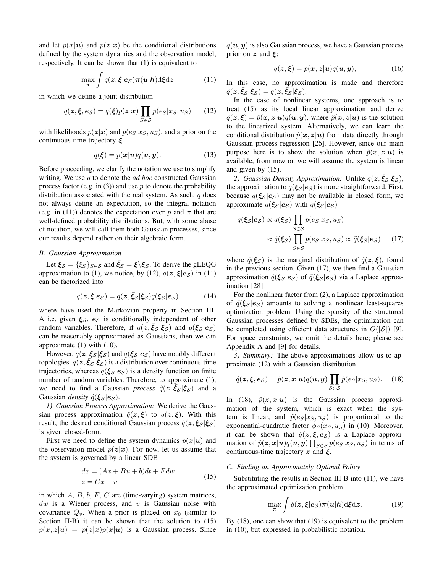and let  $p(x|u)$  and  $p(z|x)$  be the conditional distributions defined by the system dynamics and the observation model, respectively. It can be shown that (1) is equivalent to

$$
\max_{\boldsymbol{\pi}} \int q(\boldsymbol{z}, \boldsymbol{\xi} | \boldsymbol{e}_{\mathcal{S}}) \boldsymbol{\pi}(\boldsymbol{u} | \boldsymbol{h}) \mathrm{d} \boldsymbol{\xi} \mathrm{d} \boldsymbol{z} \tag{11}
$$

in which we define a joint distribution

$$
q(\boldsymbol{z}, \boldsymbol{\xi}, \boldsymbol{e}_{\mathcal{S}}) = q(\boldsymbol{\xi}) p(\boldsymbol{z}|\boldsymbol{x}) \prod_{S \in \mathcal{S}} p(e_S | x_S, u_S)
$$
(12)

with likelihoods  $p(z|x)$  and  $p(e_S|x_S, u_S)$ , and a prior on the continuous-time trajectory ξ

$$
q(\boldsymbol{\xi}) = p(\boldsymbol{x}|\boldsymbol{u})q(\boldsymbol{u},\boldsymbol{y}).
$$
\n(13)

Before proceeding, we clarify the notation we use to simplify writing. We use q to denote the *ad hoc* constructed Gaussian process factor (e.g. in  $(3)$ ) and use p to denote the probability distribution associated with the real system. As such,  $q$  does not always define an expectation, so the integral notation (e.g. in (11)) denotes the expectation over p and  $\pi$  that are well-defined probability distributions. But, with some abuse of notation, we will call them both Gaussian processes, since our results depend rather on their algebraic form.

## *B. Gaussian Approximation*

Let  $\xi_{\mathcal{S}} = {\{\xi_{\mathcal{S}}\}}_{\mathcal{S}\in\mathcal{S}}$  and  $\bar{\xi}_{\mathcal{S}} = \xi \backslash \xi_{\mathcal{S}}$ . To derive the gLEQG approximation to (1), we notice, by (12),  $q(z, \xi|e_S)$  in (11) can be factorized into

$$
q(\mathbf{z}, \boldsymbol{\xi} | \boldsymbol{e}_{\mathcal{S}}) = q(\mathbf{z}, \bar{\xi}_{\mathcal{S}} | \boldsymbol{\xi}_{\mathcal{S}}) q(\boldsymbol{\xi}_{\mathcal{S}} | \boldsymbol{e}_{\mathcal{S}})
$$
(14)

where have used the Markovian property in Section III-A i.e. given  $\xi_{\mathcal{S}}$ ,  $e_{\mathcal{S}}$  is conditionally independent of other random variables. Therefore, if  $q(z, \bar{\xi}_{\mathcal{S}} | \xi_{\mathcal{S}})$  and  $q(\xi_{\mathcal{S}} | e_{\mathcal{S}})$ can be reasonably approximated as Gaussians, then we can approximate (1) with (10).

However,  $q(z, \bar{\xi}_{\mathcal{S}} | \xi_{\mathcal{S}})$  and  $q(\xi_{\mathcal{S}} | e_{\mathcal{S}})$  have notably different topologies.  $q(z,\bar{\xi}_{\mathcal{S}}|\xi_{\mathcal{S}})$  is a distribution over continuous-time trajectories, whereas  $q(\xi_{\mathcal{S}} | e_{\mathcal{S}})$  is a density function on finite number of random variables. Therefore, to approximate (1), we need to find a Gaussian *process*  $\hat{q}(\boldsymbol{z}, \boldsymbol{\bar{\xi}}_{\mathcal{S}} | \boldsymbol{\xi}_{\mathcal{S}})$  and a Gaussian *density*  $\hat{q}(\xi_S | \mathbf{e}_S)$ .

*1) Gaussian Process Approximation:* We derive the Gaussian process approximation  $\hat{q}(z,\xi)$  to  $q(z,\xi)$ . With this result, the desired conditional Gaussian process  $\hat{q}(\mathbf{z}, \bar{\xi}_{\mathcal{S}} | \xi_{\mathcal{S}})$ is given closed-form.

First we need to define the system dynamics  $p(x|u)$  and the observation model  $p(z|x)$ . For now, let us assume that the system is governed by a linear SDE

$$
dx = (Ax + Bu + b)dt + Fdw
$$
  

$$
z = Cx + v
$$
 (15)

in which  $A$ ,  $B$ ,  $b$ ,  $F$ ,  $C$  are (time-varying) system matrices,  $dw$  is a Wiener process, and v is Gaussian noise with covariance  $Q_v$ . When a prior is placed on  $x_0$  (similar to Section II-B) it can be shown that the solution to  $(15)$  $p(x, z|u) = p(z|x)p(x|u)$  is a Gaussian process. Since  $q(\boldsymbol{u}, \boldsymbol{y})$  is also Gaussian process, we have a Gaussian process prior on  $z$  and  $\xi$ :

$$
q(\boldsymbol{z}, \boldsymbol{\xi}) = p(\boldsymbol{x}, \boldsymbol{z} | \boldsymbol{u}) q(\boldsymbol{u}, \boldsymbol{y}), \tag{16}
$$

In this case, no approximation is made and therefore  $\hat{q}(\boldsymbol{z}, \bar{\boldsymbol{\xi}}_{\mathcal{S}} | \boldsymbol{\xi}_{\mathcal{S}}) = q(\boldsymbol{z}, \bar{\boldsymbol{\xi}}_{\mathcal{S}} | \boldsymbol{\xi}_{\mathcal{S}}).$ 

In the case of nonlinear systems, one approach is to treat (15) as its local linear approximation and derive  $\hat{q}(z,\xi) = \hat{p}(x, z|u)q(u, y)$ , where  $\hat{p}(x, z|u)$  is the solution to the linearized system. Alternatively, we can learn the conditional distribution  $\hat{p}(x, z|u)$  from data directly through Gaussian process regression [26]. However, since our main purpose here is to show the solution when  $\hat{p}(x, z|u)$  is available, from now on we will assume the system is linear and given by (15).

2) Gaussian Density Approximation: Unlike  $q(z,\bar{\xi}_{\mathcal{S}}|\xi_{\mathcal{S}})$ , the approximation to  $q(\xi_S | e_S)$  is more straightforward. First, because  $q(\xi_s | e_s)$  may not be available in closed form, we approximate  $q(\xi_{\mathcal{S}} | e_{\mathcal{S}})$  with  $\tilde{q}(\xi_{\mathcal{S}} | e_{\mathcal{S}})$ 

$$
q(\xi_S|e_S) \propto q(\xi_S) \prod_{S \in S} p(e_S|x_S, u_S)
$$

$$
\approx \hat{q}(\xi_S) \prod_{S \in S} p(e_S|x_S, u_S) \propto \tilde{q}(\xi_S|e_S) \quad (17)
$$

where  $\hat{q}(\xi_s)$  is the marginal distribution of  $\hat{q}(z,\xi)$ , found in the previous section. Given (17), we then find a Gaussian approximation  $\hat{q}(\xi_{\mathcal{S}} | e_{\mathcal{S}})$  of  $\tilde{q}(\xi_{\mathcal{S}} | e_{\mathcal{S}})$  via a Laplace approximation [28].

For the nonlinear factor from (2), a Laplace approximation of  $\tilde{q}(\xi_S | e_S)$  amounts to solving a nonlinear least-squares optimization problem. Using the sparsity of the structured Gaussian processes defined by SDEs, the optimization can be completed using efficient data structures in  $O(|\mathcal{S}|)$  [9]. For space constraints, we omit the details here; please see Appendix A and [9] for details.

*3) Summary:* The above approximations allow us to approximate (12) with a Gaussian distribution

$$
\hat{q}(\boldsymbol{z}, \boldsymbol{\xi}, \boldsymbol{e}_{\mathcal{S}}) = \hat{p}(\boldsymbol{z}, \boldsymbol{x} | \boldsymbol{u}) q(\boldsymbol{u}, \boldsymbol{y}) \prod_{S \in \mathcal{S}} \hat{p}(e_S | x_S, u_S).
$$
 (18)

In (18),  $\hat{p}(z, x|u)$  is the Gaussian process approximation of the system, which is exact when the system is linear, and  $\hat{p}(e_S|x_S, u_S)$  is proportional to the exponential-quadratic factor  $\hat{\phi}_S(x_S, u_S)$  in (10). Moreover, it can be shown that  $\hat{q}(z, \xi, e_{\mathcal{S}})$  is a Laplace approximation of  $\hat{p}(z, x | u) q(u, y) \prod_{S \in \mathcal{S}} p(e_S | x_S, u_S)$  in terms of continuous-time trajectory  $z$  and  $\xi$ .

## *C. Finding an Approximately Optimal Policy*

Substituting the results in Section III-B into (11), we have the approximated optimization problem

$$
\max_{\pi} \int \hat{q}(z,\xi|e_{\mathcal{S}})\pi(u|h) \mathrm{d}\xi \mathrm{d}z. \tag{19}
$$

By (18), one can show that (19) is equivalent to the problem in (10), but expressed in probabilistic notation.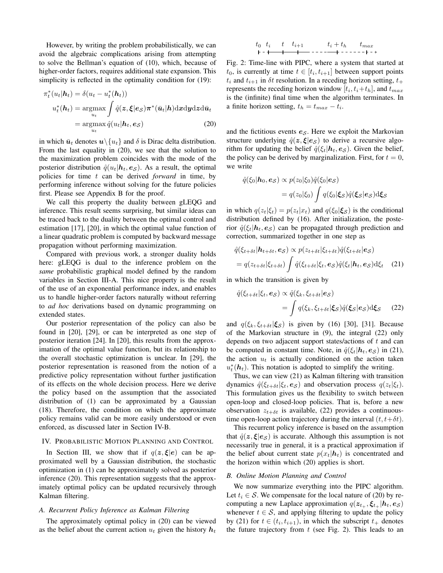However, by writing the problem probabilistically, we can avoid the algebraic complications arising from attempting to solve the Bellman's equation of (10), which, because of higher-order factors, requires additional state expansion. This simplicity is reflected in the optimality condition for  $(19)$ :

$$
\pi_t^*(u_t|\mathbf{h}_t) = \delta(u_t - u_t^*(\mathbf{h}_t))
$$
  

$$
u_t^*(\mathbf{h}_t) = \underset{u_t}{\operatorname{argmax}} \int \hat{q}(\mathbf{z}, \boldsymbol{\xi}|\mathbf{e}_s) \pi^*(\bar{u}_t|\mathbf{h}) \mathrm{d}x \mathrm{d}y \mathrm{d}z \mathrm{d}\bar{u}_t
$$
  

$$
= \underset{u_t}{\operatorname{argmax}} \hat{q}(u_t|\mathbf{h}_t, \mathbf{e}_s)
$$
(20)

in which  $\bar{u}_t$  denotes  $u \setminus \{u_t\}$  and  $\delta$  is Dirac delta distribution. From the last equality in (20), we see that the solution to the maximization problem coincides with the mode of the posterior distribution  $\hat{q}(u_t|\boldsymbol{h}_t, \boldsymbol{e}_{\mathcal{S}})$ . As a result, the optimal policies for time t can be derived *forward* in time, by performing inference without solving for the future policies first. Please see Appendix B for the proof.

We call this property the duality between gLEQG and inference. This result seems surprising, but similar ideas can be traced back to the duality between the optimal control and estimation [17], [20], in which the optimal value function of a linear quadratic problem is computed by backward message propagation without performing maximization.

Compared with previous work, a stronger duality holds here: gLEQG is dual to the inference problem on the *same* probabilistic graphical model defined by the random variables in Section III-A. This nice property is the result of the use of an exponential performance index, and enables us to handle higher-order factors naturally without referring to *ad hoc* derivations based on dynamic programming on extended states.

Our posterior representation of the policy can also be found in [20], [29], or can be interpreted as one step of posterior iteration [24]. In [20], this results from the approximation of the optimal value function, but its relationship to the overall stochastic optimization is unclear. In [29], the posterior representation is reasoned from the notion of a predictive policy representation without further justification of its effects on the whole decision process. Here we derive the policy based on the assumption that the associated distribution of (1) can be approximated by a Gaussian (18). Therefore, the condition on which the approximate policy remains valid can be more easily understood or even enforced, as discussed later in Section IV-B.

## IV. PROBABILISTIC MOTION PLANNING AND CONTROL

In Section III, we show that if  $q(z, \xi|e)$  can be approximated well by a Gaussian distribution, the stochastic optimization in (1) can be approximately solved as posterior inference (20). This representation suggests that the approximately optimal policy can be updated recursively through Kalman filtering.

# *A. Recurrent Policy Inference as Kalman Filtering*

The approximately optimal policy in (20) can be viewed as the belief about the current action  $u_t$  given the history  $h_t$ 

t<sup>0</sup> t<sup>i</sup> t ti+1 t<sup>i</sup> + t<sup>h</sup> tmax

Fig. 2: Time-line with PIPC, where a system that started at  $t_0$ , is currently at time  $t \in [t_i, t_{i+1}]$  between support points  $t_i$  and  $t_{i+1}$  in  $\delta t$  resolution. In a receding horizon setting,  $t_+$ represents the receding horizon window  $[t_i, t_i + t_h]$ , and  $t_{max}$ is the (infinite) final time when the algorithm terminates. In a finite horizon setting,  $t_h = t_{max} - t_i$ .

and the fictitious events  $e_{\mathcal{S}}$ . Here we exploit the Markovian structure underlying  $\hat{q}(z, \xi | e_{\mathcal{S}})$  to derive a recursive algorithm for updating the belief  $\hat{q}(\xi_t|\mathbf{h}_t, \mathbf{e}_{\mathcal{S}})$ . Given the belief, the policy can be derived by marginalization. First, for  $t = 0$ , we write

$$
\hat{q}(\xi_0|\boldsymbol{h}_0, \boldsymbol{e}_{\mathcal{S}}) \propto p(z_0|\xi_0)\hat{q}(\xi_0|\boldsymbol{e}_{\mathcal{S}})
$$

$$
= q(z_0|\xi_0) \int q(\xi_0|\boldsymbol{\xi}_{\mathcal{S}})\hat{q}(\boldsymbol{\xi}_{\mathcal{S}}|\boldsymbol{e}_{\mathcal{S}})d\boldsymbol{\xi}_{\mathcal{S}}
$$

in which  $q(z_t|\xi_t) = p(z_t|x_t)$  and  $q(\xi_0|\xi_s)$  is the conditional distribution defined by (16). After initialization, the posterior  $\hat{q}(\xi_t|\mathbf{h}_t, \mathbf{e}_s)$  can be propagated through prediction and correction, summarized together in one step as

$$
\hat{q}(\xi_{t+\delta t}|\boldsymbol{h}_{t+\delta t}, \boldsymbol{e}_{\mathcal{S}}) \propto p(z_{t+\delta t}|\xi_{t+\delta t})\hat{q}(\xi_{t+\delta t}|\boldsymbol{e}_{\mathcal{S}})
$$
\n
$$
= q(z_{t+\delta t}|\xi_{t+\delta t}) \int \hat{q}(\xi_{t+\delta t}|\xi_t, \boldsymbol{e}_{\mathcal{S}}) \hat{q}(\xi_t|\boldsymbol{h}_t, \boldsymbol{e}_{\mathcal{S}}) \mathrm{d}\xi_t \quad (21)
$$

in which the transition is given by

$$
\hat{q}(\xi_{t+\delta t}|\xi_t, \mathbf{e}_S) \propto \hat{q}(\xi_k, \xi_{t+\delta t}|\mathbf{e}_S)
$$
\n
$$
= \int q(\xi_k, \xi_{t+\delta t}|\xi_S) \hat{q}(\xi_S|\mathbf{e}_S) \mathrm{d}\xi_S \qquad (22)
$$

and  $q(\xi_k, \xi_{t+\delta t}|\xi_{\mathcal{S}})$  is given by (16) [30], [31]. Because of the Markovian structure in (9), the integral (22) only depends on two adjacent support states/actions of  $t$  and can be computed in constant time. Note, in  $\hat{q}(\xi_t|\mathbf{h}_t, \mathbf{e}_{\mathcal{S}})$  in (21), the action  $u_t$  is actually conditioned on the action taken  $u_t^*(h_t)$ . This notation is adopted to simplify the writing.

Thus, we can view (21) as Kalman filtering with transition dynamics  $\hat{q}(\xi_{t+\delta t}|\xi_t, e_{\mathcal{S}})$  and observation process  $q(z_t|\xi_t)$ . This formulation gives us the flexibility to switch between open-loop and closed-loop policies. That is, before a new observation  $z_{t+\delta t}$  is available, (22) provides a continuoustime open-loop action trajectory during the interval  $(t, t+\delta t)$ .

This recurrent policy inference is based on the assumption that  $\hat{q}(z, \xi | e_S)$  is accurate. Although this assumption is not necessarily true in general, it is a practical approximation if the belief about current state  $p(x_t|\mathbf{h}_t)$  is concentrated and the horizon within which (20) applies is short.

#### *B. Online Motion Planning and Control*

We now summarize everything into the PIPC algorithm. Let  $t_i \in S$ . We compensate for the local nature of (20) by recomputing a new Laplace approximation  $q(z_{t+}, \xi_{t+} | h_t, e_S)$ whenever  $t \in S$ , and applying filtering to update the policy by (21) for  $t \in (t_i, t_{i+1})$ , in which the subscript  $t_+$  denotes the future trajectory from  $t$  (see Fig. 2). This leads to an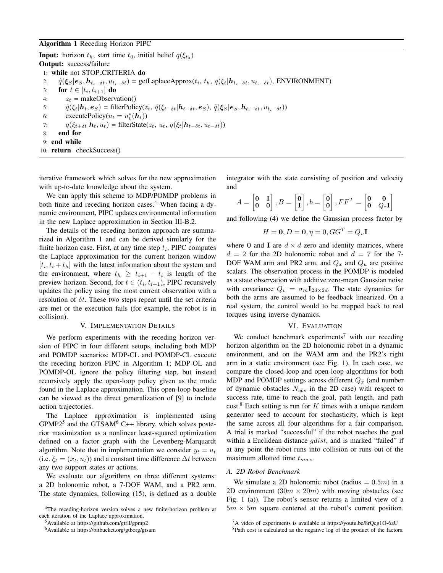**Input:** horizon  $t_h$ , start time  $t_0$ , initial belief  $q(\xi_{t_0})$ Output: success/failure 1: while not STOP CRITERIA do 2:  $\hat{q}(\xi_S|e_S, h_{t_i-\delta t}, u_{t_i-\delta t})$  = getLaplaceApprox( $t_i, t_h, q(\xi_t|h_{t_i-\delta t}, u_{t_i-\delta t})$ , ENVIRONMENT) 3: **for**  $t \in [t_i, t_{i+1}]$  **do** 4:  $z_t$  = makeObservation() 5:  $\hat{q}(\xi_t | \mathbf{h}_t, \mathbf{e}_S) = \text{filterPolicy}(\mathbf{z}_t, \hat{q}(\xi_{t-\delta t} | \mathbf{h}_{t-\delta t}, \mathbf{e}_S), \hat{q}(\xi_S | \mathbf{e}_S, \mathbf{h}_{t_i-\delta t}, u_{t_i-\delta t}))$ <br>6: executePolicy( $u_t = u_t^*(\mathbf{h}_t)$ ) 6: executePolicy $(u_t = u_t^*(h_t))$ 7:  $q(\xi_{t+\delta t}|\mathbf{h}_t, u_t) = \text{filterState}(z_t, u_t, q(\xi_t|\mathbf{h}_{t-\delta t}, u_{t-\delta t}))$ <br>8: **end for** 8: end for 9: end while 10: return checkSuccess()

iterative framework which solves for the new approximation with up-to-date knowledge about the system.

We can apply this scheme to MDP/POMDP problems in both finite and receding horizon cases.<sup>4</sup> When facing a dynamic environment, PIPC updates environmental information in the new Laplace approximation in Section III-B.2.

The details of the receding horizon approach are summarized in Algorithm 1 and can be derived similarly for the finite horizon case. First, at any time step  $t_i$ , PIPC computes the Laplace approximation for the current horizon window  $[t_i, t_i + t_h]$  with the latest information about the system and the environment, where  $t_h \geq t_{i+1} - t_i$  is length of the preview horizon. Second, for  $t \in (t_i, t_{i+1})$ , PIPC recursively updates the policy using the most current observation with a resolution of  $\delta t$ . These two steps repeat until the set criteria are met or the execution fails (for example, the robot is in collision).

#### V. IMPLEMENTATION DETAILS

We perform experiments with the receding horizon version of PIPC in four different setups, including both MDP and POMDP scenarios: MDP-CL and POMDP-CL execute the receding horizon PIPC in Algorithm 1; MDP-OL and POMDP-OL ignore the policy filtering step, but instead recursively apply the open-loop policy given as the mode found in the Laplace approximation. This open-loop baseline can be viewed as the direct generalization of [9] to include action trajectories.

The Laplace approximation is implemented using  $GPMP2<sup>5</sup>$  and the GTSAM<sup>6</sup> C++ library, which solves posterior maximization as a nonlinear least-squared optimization defined on a factor graph with the Levenberg-Marquardt algorithm. Note that in implementation we consider  $y_t = u_t$ (i.e.  $\xi_t = (x_t, u_t)$ ) and a constant time difference  $\Delta t$  between any two support states or actions.

We evaluate our algorithms on three different systems: a 2D holonomic robot, a 7-DOF WAM, and a PR2 arm. The state dynamics, following (15), is defined as a double integrator with the state consisting of position and velocity and

$$
A = \begin{bmatrix} 0 & \mathbf{I} \\ \mathbf{0} & \mathbf{0} \end{bmatrix}, B = \begin{bmatrix} 0 \\ \mathbf{I} \end{bmatrix}, b = \begin{bmatrix} 0 \\ 0 \end{bmatrix}, FF^T = \begin{bmatrix} 0 & \mathbf{0} \\ \mathbf{0} & Q_x \mathbf{I} \end{bmatrix}
$$

and following (4) we define the Gaussian process factor by

$$
H = \mathbf{0}, D = \mathbf{0}, \eta = 0, GG^T = Q_u \mathbf{I}
$$

where 0 and I are  $d \times d$  zero and identity matrices, where  $d = 2$  for the 2D holonomic robot and  $d = 7$  for the 7-DOF WAM arm and PR2 arm, and  $Q_x$  and  $Q_u$  are positive scalars. The observation process in the POMDP is modeled as a state observation with additive zero-mean Gaussian noise with covariance  $Q_v = \sigma_m \mathbf{I}_{2d \times 2d}$ . The state dynamics for both the arms are assumed to be feedback linearized. On a real system, the control would to be mapped back to real torques using inverse dynamics.

# VI. EVALUATION

We conduct benchmark experiments<sup>7</sup> with our receding horizon algorithm on the 2D holonomic robot in a dynamic environment, and on the WAM arm and the PR2's right arm in a static environment (see Fig. 1). In each case, we compare the closed-loop and open-loop algorithms for both MDP and POMDP settings across different  $Q_x$  (and number of dynamic obstacles  $N_{obs}$  in the 2D case) with respect to success rate, time to reach the goal, path length, and path  $cost<sup>8</sup>$  Each setting is run for K times with a unique random generator seed to account for stochasticity, which is kept the same across all four algorithms for a fair comparison. A trial is marked "successful" if the robot reaches the goal within a Euclidean distance *gdist*, and is marked "failed" if at any point the robot runs into collision or runs out of the maximum allotted time  $t_{max}$ .

# *A. 2D Robot Benchmark*

We simulate a 2D holonomic robot (radius  $= 0.5m$ ) in a 2D environment  $(30m \times 20m)$  with moving obstacles (see Fig. 1 (a)). The robot's sensor returns a limited view of a  $5m \times 5m$  square centered at the robot's current position.

<sup>4</sup>The receding-horizon version solves a new finite-horizon problem at each iteration of the Laplace approximation.

<sup>5</sup>Available at https://github.com/gtrll/gpmp2

<sup>6</sup>Available at https://bitbucket.org/gtborg/gtsam

<sup>7</sup>A video of experiments is available at https://youtu.be/8rQcg1O-6aU

<sup>8</sup>Path cost is calculated as the negative log of the product of the factors.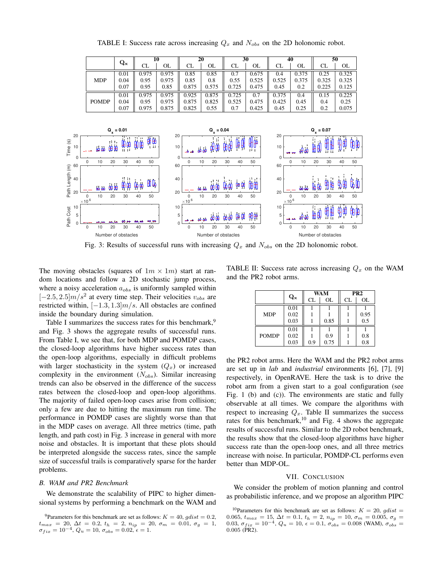TABLE I: Success rate across increasing  $Q_x$  and  $N_{obs}$  on the 2D holonomic robot.

|              | $\mathbf{Q}_{\mathbf{x}}$ | 10    |       | 20    |       | 30    |       | 40    |       | 50    |       |
|--------------|---------------------------|-------|-------|-------|-------|-------|-------|-------|-------|-------|-------|
|              |                           | CL    | OL    | CL    | OL    | CL    | OL    | CL    | OL    | CL    | OL    |
| <b>MDP</b>   | 0.01                      | 0.975 | 0.975 | 0.85  | 0.85  |       | 0.675 | 0.4   | 0.375 | 0.25  | 0.325 |
|              | 0.04                      | 0.95  | 0.975 | 0.85  | 0.8   | 0.55  | 0.525 | 0.525 | 0.375 | 0.325 | 0.325 |
|              | 0.07                      | 0.95  | 0.85  | 0.875 | 0.575 | 0.725 | 0.475 | 0.45  | 0.2   | 0.225 | 0.125 |
| <b>POMDP</b> | 0.01                      | 0.975 | 0.975 | 0.925 | 0.875 | 0.725 | 0.7   | 0.375 | 0.4   | 0.15  | 0.225 |
|              | 0.04                      | 0.95  | 0.975 | 0.875 | 0.825 | 0.525 | 0.475 | 0.425 | 0.45  | 0.4   | 0.25  |
|              | 0.07                      | 0.975 | 0.875 | 0.825 | 0.55  | 0.7   | 0.425 | 0.45  | 0.25  | 0.2   | 0.075 |



Fig. 3: Results of successful runs with increasing  $Q_x$  and  $N_{obs}$  on the 2D holonomic robot.

The moving obstacles (squares of  $1m \times 1m$ ) start at random locations and follow a 2D stochastic jump process, where a noisy acceleration  $a_{obs}$  is uniformly sampled within  $[-2.5, 2.5]$  $m/s<sup>2</sup>$  at every time step. Their velocities  $v_{obs}$  are restricted within,  $[-1.3, 1.3]$  $m/s$ . All obstacles are confined inside the boundary during simulation.

Table I summarizes the success rates for this benchmark,<sup>9</sup> and Fig. 3 shows the aggregate results of successful runs. From Table I, we see that, for both MDP and POMDP cases, the closed-loop algorithms have higher success rates than the open-loop algorithms, especially in difficult problems with larger stochasticity in the system  $(Q_x)$  or increased complexity in the environment  $(N_{obs})$ . Similar increasing trends can also be observed in the difference of the success rates between the closed-loop and open-loop algorithms. The majority of failed open-loop cases arise from collision; only a few are due to hitting the maximum run time. The performance in POMDP cases are slightly worse than that in the MDP cases on average. All three metrics (time, path length, and path cost) in Fig. 3 increase in general with more noise and obstacles. It is important that these plots should be interpreted alongside the success rates, since the sample size of successful trails is comparatively sparse for the harder problems.

#### *B. WAM and PR2 Benchmark*

We demonstrate the scalability of PIPC to higher dimensional systems by performing a benchmark on the WAM and

TABLE II: Success rate across increasing  $Q_x$  on the WAM and the PR2 robot arms.

|              |             |     | <b>WAM</b> | PR <sub>2</sub> |      |
|--------------|-------------|-----|------------|-----------------|------|
|              | $Q_{\rm x}$ | CL  | OL         | CL              | OL   |
|              | 0.01        |     |            |                 |      |
| <b>MDP</b>   | 0.02        |     |            |                 | 0.95 |
|              | 0.03        |     | 0.85       |                 | 0.5  |
|              | 0.01        |     |            |                 |      |
| <b>POMDP</b> | 0.02        |     | 0.9        |                 | 0.8  |
|              | 0.03        | 0.9 | 0.75       |                 | 0.8  |

the PR2 robot arms. Here the WAM and the PR2 robot arms are set up in *lab* and *industrial* environments [6], [7], [9] respectively, in OpenRAVE. Here the task is to drive the robot arm from a given start to a goal configuration (see Fig. 1 (b) and (c)). The environments are static and fully observable at all times. We compare the algorithms with respect to increasing  $Q_x$ . Table II summarizes the success rates for this benchmark, $10$  and Fig. 4 shows the aggregate results of successful runs. Similar to the 2D robot benchmark, the results show that the closed-loop algorithms have higher success rate than the open-loop ones, and all three metrics increase with noise. In particular, POMDP-CL performs even better than MDP-OL.

#### VII. CONCLUSION

We consider the problem of motion planning and control as probabilistic inference, and we propose an algorithm PIPC

<sup>&</sup>lt;sup>9</sup>Parameters for this benchmark are set as follows:  $K = 40$ ,  $gdist = 0.2$ ,  $t_{max} = 20, \Delta t = 0.2, t_h = 2, n_{ip} = 20, \sigma_m = 0.01, \sigma_g = 1,$ <br>  $\sigma_{fix} = 10^{-4}, Q_u = 10, \sigma_{obs} = 0.02, \epsilon = 1.$ 

<sup>&</sup>lt;sup>10</sup>Parameters for this benchmark are set as follows:  $K = 20$ , gdist = 0.065,  $t_{max} = 15$ ,  $\Delta t = 0.1$ ,  $t_h = 2$ ,  $n_{ip} = 10$ ,  $\sigma_m = 0.005$ ,  $\sigma_g =$ 0.03,  $\sigma_{fix} = 10^{-4}$ ,  $Q_u = 10$ ,  $\epsilon = 0.1$ ,  $\sigma_{obs} = 0.008$  (WAM),  $\sigma_{obs} =$ 0.005 (PR2).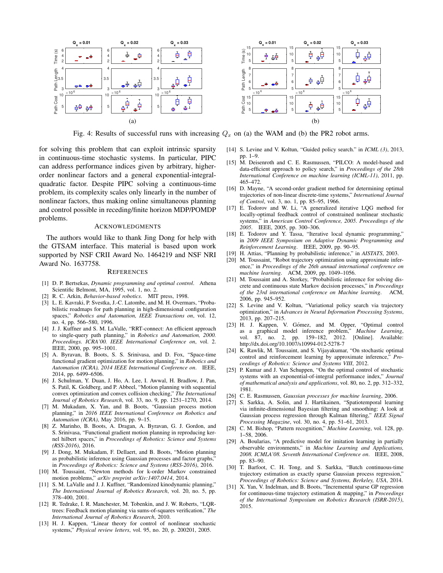

Fig. 4: Results of successful runs with increasing  $Q_x$  on (a) the WAM and (b) the PR2 robot arms.

for solving this problem that can exploit intrinsic sparsity in continuous-time stochastic systems. In particular, PIPC can address performance indices given by arbitrary, higherorder nonlinear factors and a general exponential-integralquadratic factor. Despite PIPC solving a continuous-time problem, its complexity scales only linearly in the number of nonlinear factors, thus making online simultaneous planning and control possible in receding/finite horizon MDP/POMDP problems.

# ACKNOWLEDGMENTS

The authors would like to thank Jing Dong for help with the GTSAM interface. This material is based upon work supported by NSF CRII Award No. 1464219 and NSF NRI Award No. 1637758.

#### **REFERENCES**

- [1] D. P. Bertsekas, *Dynamic programming and optimal control*. Athena Scientific Belmont, MA, 1995, vol. 1, no. 2.
- [2] R. C. Arkin, *Behavior-based robotics*. MIT press, 1998.
- [3] L. E. Kavraki, P. Svestka, J.-C. Latombe, and M. H. Overmars, "Probabilistic roadmaps for path planning in high-dimensional configuration spaces," *Robotics and Automation, IEEE Transactions on*, vol. 12, no. 4, pp. 566–580, 1996.
- [4] J. J. Kuffner and S. M. LaValle, "RRT-connect: An efficient approach to single-query path planning," in *Robotics and Automation, 2000. Proceedings. ICRA'00. IEEE International Conference on*, vol. 2. IEEE, 2000, pp. 995–1001.
- [5] A. Byravan, B. Boots, S. S. Srinivasa, and D. Fox, "Space-time functional gradient optimization for motion planning," in *Robotics and Automation (ICRA), 2014 IEEE International Conference on*. IEEE, 2014, pp. 6499–6506.
- [6] J. Schulman, Y. Duan, J. Ho, A. Lee, I. Awwal, H. Bradlow, J. Pan, S. Patil, K. Goldberg, and P. Abbeel, "Motion planning with sequential convex optimization and convex collision checking," *The International Journal of Robotics Research*, vol. 33, no. 9, pp. 1251–1270, 2014.
- [7] M. Mukadam, X. Yan, and B. Boots, "Gaussian process motion planning," in *2016 IEEE International Conference on Robotics and Automation (ICRA)*, May 2016, pp. 9–15.
- [8] Z. Marinho, B. Boots, A. Dragan, A. Byravan, G. J. Gordon, and S. Srinivasa, "Functional gradient motion planning in reproducing kernel hilbert spaces," in *Proceedings of Robotics: Science and Systems (RSS-2016)*, 2016.
- [9] J. Dong, M. Mukadam, F. Dellaert, and B. Boots, "Motion planning as probabilistic inference using Gaussian processes and factor graphs, in *Proceedings of Robotics: Science and Systems (RSS-2016)*, 2016.
- [10] M. Toussaint, "Newton methods for k-order Markov constrained motion problems," *arXiv preprint arXiv:1407.0414*, 2014.
- [11] S. M. LaValle and J. J. Kuffner, "Randomized kinodynamic planning," *The International Journal of Robotics Research*, vol. 20, no. 5, pp. 378–400, 2001.
- [12] R. Tedrake, I. R. Manchester, M. Tobenkin, and J. W. Roberts, "LQRtrees: Feedback motion planning via sums-of-squares verification," *The International Journal of Robotics Research*, 2010.
- [13] H. J. Kappen, "Linear theory for control of nonlinear stochastic systems," *Physical review letters*, vol. 95, no. 20, p. 200201, 2005.



[14] S. Levine and V. Koltun, "Guided policy search." in *ICML (3)*, 2013, pp. 1–9.

- [15] M. Deisenroth and C. E. Rasmussen, "PILCO: A model-based and data-efficient approach to policy search," in *Proceedings of the 28th International Conference on machine learning (ICML-11)*, 2011, pp. 465–472.
- [16] D. Mayne, "A second-order gradient method for determining optimal trajectories of non-linear discrete-time systems," *International Journal of Control*, vol. 3, no. 1, pp. 85–95, 1966.
- [17] E. Todorov and W. Li, "A generalized iterative LQG method for locally-optimal feedback control of constrained nonlinear stochastic systems," in *American Control Conference, 2005. Proceedings of the 2005*. IEEE, 2005, pp. 300–306.
- [18] E. Todorov and Y. Tassa, "Iterative local dynamic programming," in *2009 IEEE Symposium on Adaptive Dynamic Programming and Reinforcement Learning*. IEEE, 2009, pp. 90–95.
- [19] H. Attias, "Planning by probabilistic inference," in *AISTATS*, 2003.
- [20] M. Toussaint, "Robot trajectory optimization using approximate inference," in *Proceedings of the 26th annual international conference on machine learning*. ACM, 2009, pp. 1049–1056.
- [21] M. Toussaint and A. Storkey, "Probabilistic inference for solving discrete and continuous state Markov decision processes," in *Proceedings of the 23rd international conference on Machine learning*. ACM, 2006, pp. 945–952.
- [22] S. Levine and V. Koltun, "Variational policy search via trajectory optimization," in *Advances in Neural Information Processing Systems*, 2013, pp. 207–215.
- [23] H. J. Kappen, V. Gómez, and M. Opper, "Optimal control as a graphical model inference problem," *Machine Learning*, vol. 87, no. 2, pp. 159–182, 2012. http://dx.doi.org/10.1007/s10994-012-5278-7
- [24] K. Rawlik, M. Toussaint, and S. Vijayakumar, "On stochastic optimal control and reinforcement learning by approximate inference," *Proceedings of Robotics: Science and Systems VIII*, 2012.
- [25] P. Kumar and J. Van Schuppen, "On the optimal control of stochastic systems with an exponential-of-integral performance index," *Journal of mathematical analysis and applications*, vol. 80, no. 2, pp. 312–332, 1981.
- [26] C. E. Rasmussen, *Gaussian processes for machine learning*, 2006.
- [27] S. Sarkka, A. Solin, and J. Hartikainen, "Spatiotemporal learning via infinite-dimensional Bayesian filtering and smoothing: A look at Gaussian process regression through Kalman filtering," *IEEE Signal Processing Magazine*, vol. 30, no. 4, pp. 51–61, 2013.
- [28] C. M. Bishop, "Pattern recognition," *Machine Learning*, vol. 128, pp. 1–58, 2006.
- [29] A. Boularias, "A predictive model for imitation learning in partially observable environments," in *Machine Learning and Applications, 2008. ICMLA'08. Seventh International Conference on*. IEEE, 2008, pp. 83–90.
- [30] T. Barfoot, C. H. Tong, and S. Sarkka, "Batch continuous-time trajectory estimation as exactly sparse Gaussian process regression," *Proceedings of Robotics: Science and Systems, Berkeley, USA*, 2014.
- [31] X. Yan, V. Indelman, and B. Boots, "Incremental sparse GP regression for continuous-time trajectory estimation & mapping," in *Proceedings of the International Symposium on Robotics Research (ISRR-2015)*, 2015.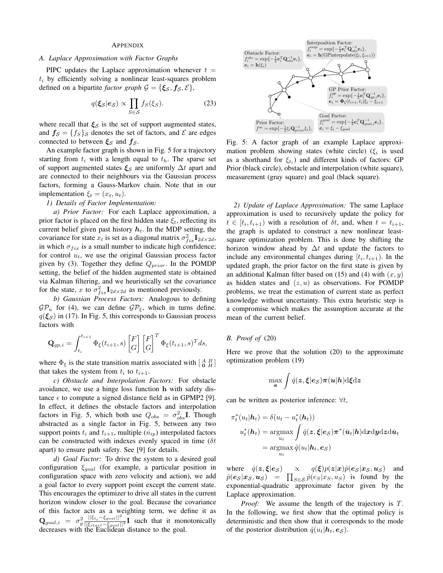## APPENDIX

# *A. Laplace Approximation with Factor Graphs*

PIPC updates the Laplace approximation whenever  $t =$  $t_i$  by efficiently solving a nonlinear least-squares problem defined on a bipartite *factor graph*  $G = {\xi_S, f_S, E}$ ,

$$
q(\xi_{\mathcal{S}}|e_{\mathcal{S}}) \propto \prod_{S \in \mathcal{S}} f_S(\xi_S). \tag{23}
$$

where recall that  $\xi_{\mathcal{S}}$  is the set of support augmented states, and  $f_s = \{f_s\}_s$  denotes the set of factors, and  $\mathcal E$  are edges connected to between  $\xi_{\mathcal{S}}$  and  $f_{\mathcal{S}}$ .

An example factor graph is shown in Fig. 5 for a trajectory starting from  $t_i$  with a length equal to  $t_h$ . The sparse set of support augmented states  $\xi_s$  are uniformly  $\Delta t$  apart and are connected to their neighbours via the Gaussian process factors, forming a Gauss-Markov chain. Note that in our implementation  $\xi_t = (x_t, u_t)$ .

# *1) Details of Factor Implementation:*

*a) Prior Factor:* For each Laplace approximation, a prior factor is placed on the first hidden state  $\xi_t$ , reflecting its current belief given past history  $h_t$ . In the MDP setting, the covariance for state  $x_t$  is set as a diagonal matrix  $\sigma_{fix}^2 \mathbf{I}_{2d \times 2d}$ , in which  $\sigma_{fix}$  is a small number to indicate high confidence; for control  $u_t$ , we use the original Gaussian process factor given by (3). Together they define  $Q_{prior}$ . In the POMDP setting, the belief of the hidden augmented state is obtained via Kalman filtering, and we heuristically set the covariance for the state, x to  $\sigma_{fix}^2 \mathbf{I}_{2d \times 2d}$  as mentioned previously.

*b) Gaussian Process Factors:* Analogous to defining  $\mathcal{GP}_u$  for (4), we can define  $\mathcal{GP}_\xi$ , which in turns define.  $q(\xi_s)$  in (17). In Fig. 5, this corresponds to Gaussian process factors with

$$
\mathbf{Q}_{gp,i} = \int_{t_i}^{t_{i+1}} \Phi_{\xi}(t_{i+1},s) \begin{bmatrix} F \\ G \end{bmatrix} \begin{bmatrix} F \\ G \end{bmatrix}^T \Phi_{\xi}(t_{i+1},s)^T ds,
$$

where  $\Phi_{\xi}$  is the state transition matrix associated with  $\begin{bmatrix} A & B \\ 0 & H \end{bmatrix}$ that takes the system from  $t_i$  to  $t_{i+1}$ .

*c) Obstacle and Interpolation Factors:* For obstacle avoidance, we use a hinge loss function h with safety distance  $\epsilon$  to compute a signed distance field as in GPMP2 [9]. In effect, it defines the obstacle factors and interpolation factors in Fig. 5, which both use  $Q_{obs} = \sigma_{obs}^2 \mathbf{I}$ . Though abstracted as a single factor in Fig. 5, between any two support points  $t_i$  and  $t_{i+1}$ , multiple  $(n_{ip})$  interpolated factors can be constructed with indexes evenly spaced in time ( $\delta t$ apart) to ensure path safety. See [9] for details.

*d) Goal Factor:* To drive the system to a desired goal configuration  $\xi_{goal}$  (for example, a particular position in configuration space with zero velocity and action), we add a goal factor to every support point except the current state. This encourages the optimizer to drive all states in the current horizon window closer to the goal. Because the covariance of this factor acts as a weighting term, we define it as  $\mathbf{Q}_{goal,i} = \sigma_g^2 \frac{||\xi_{t_i} - \xi_{goal}||^2}{||\xi_{start} - \xi_{goal}||^2} \mathbf{I}$  such that it monotonically decreases with the Euclidean distance to the goal.



Fig. 5: A factor graph of an example Laplace approximation problem showing states (white circle) ( $\xi_i$  is used as a shorthand for  $\xi_{t_i}$ ) and different kinds of factors: GP Prior (black circle), obstacle and interpolation (white square), measurement (gray square) and goal (black square).

*2) Update of Laplace Approximation:* The same Laplace approximation is used to recursively update the policy for  $t \in [t_i, t_{i+1})$  with a resolution of  $\delta t$ , and, when  $t = t_{i+1}$ , the graph is updated to construct a new nonlinear leastsquare optimization problem. This is done by shifting the horizon window ahead by  $\Delta t$  and update the factors to include any environmental changes during  $[t_i, t_{i+1})$ . In the updated graph, the prior factor on the first state is given by an additional Kalman filter based on (15) and (4) with  $(x, y)$ as hidden states and  $(z, u)$  as observations. For POMDP problems, we treat the estimation of current state as perfect knowledge without uncertainty. This extra heuristic step is a compromise which makes the assumption accurate at the mean of the current belief.

# *B. Proof of* (20)

Here we prove that the solution (20) to the approximate optimization problem (19)

$$
\max_{\pmb{\pi}} \int \hat{q}(\pmb{z},\pmb{\xi}|\pmb{e}_{\mathcal{S}}) \pmb{\pi}(\pmb{u}|\pmb{h}) \mathrm{d}\pmb{\xi} \mathrm{d}\pmb{z}
$$

can be written as posterior inference:  $\forall t$ ,

$$
\pi_t^*(u_t|\mathbf{h}_t) = \delta(u_t - u_t^*(\mathbf{h}_t))
$$
  

$$
u_t^*(\mathbf{h}_t) = \operatorname*{argmax}_{u_t} \int \hat{q}(\mathbf{z}, \boldsymbol{\xi} | \mathbf{e}_S) \pi^*(\bar{u}_t | \mathbf{h}) \mathrm{d}\mathbf{x} \mathrm{d}\mathbf{y} \mathrm{d}\mathbf{z} \mathrm{d}\bar{u}_t
$$
  

$$
= \operatorname*{argmax}_{u_t} \hat{q}(u_t | \mathbf{h}_t, \mathbf{e}_S)
$$

where  $\hat{q}(z,\xi|e_{\mathcal{S}}) \propto q(\xi)p(z|x)\hat{p}(e_{\mathcal{S}}|x_{\mathcal{S}},u_{\mathcal{S}})$  and  $\hat{p}(\mathbf{e}_{\mathcal{S}}|\mathbf{x}_{\mathcal{S}},\mathbf{u}_{\mathcal{S}}) = \prod_{S \in \mathcal{S}} \hat{p}(e_S|x_S, u_S)$  is found by the exponential-quadratic approximate factor given by the Laplace approximation.

*Proof:* We assume the length of the trajectory is T. In the following, we first show that the optimal policy is deterministic and then show that it corresponds to the mode of the posterior distribution  $\hat{q}(u_t|\boldsymbol{h}_t, \boldsymbol{e}_s)$ .